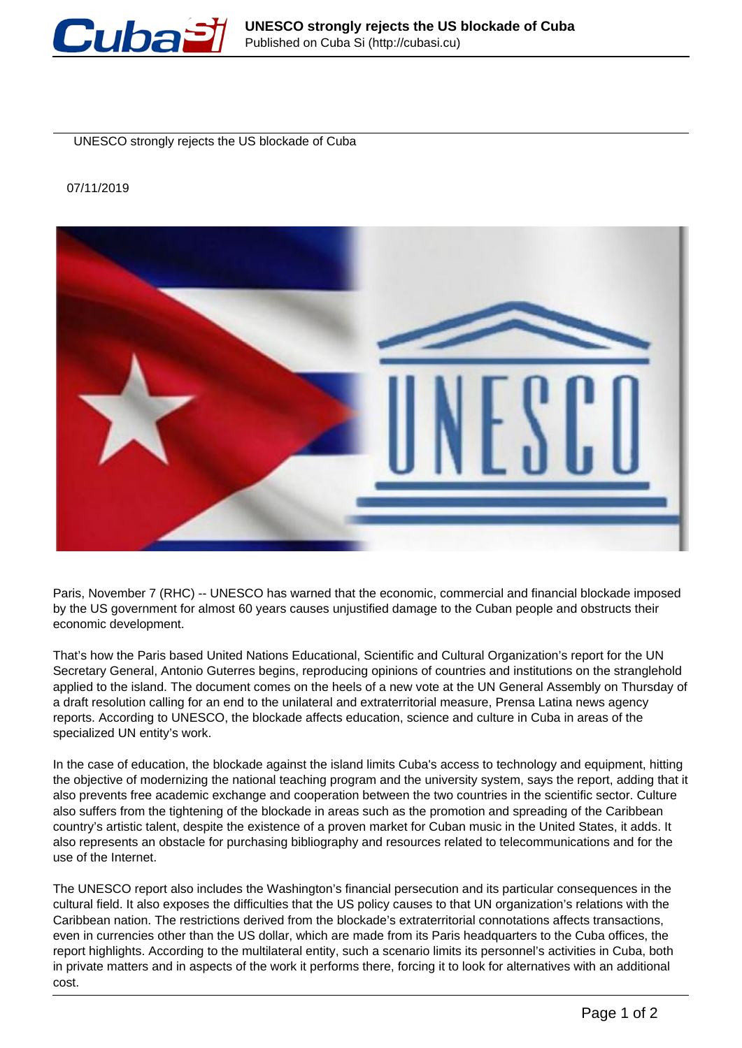

UNESCO strongly rejects the US blockade of Cuba

## 07/11/2019



Paris, November 7 (RHC) -- UNESCO has warned that the economic, commercial and financial blockade imposed by the US government for almost 60 years causes unjustified damage to the Cuban people and obstructs their economic development.

That's how the Paris based United Nations Educational, Scientific and Cultural Organization's report for the UN Secretary General, Antonio Guterres begins, reproducing opinions of countries and institutions on the stranglehold applied to the island. The document comes on the heels of a new vote at the UN General Assembly on Thursday of a draft resolution calling for an end to the unilateral and extraterritorial measure, Prensa Latina news agency reports. According to UNESCO, the blockade affects education, science and culture in Cuba in areas of the specialized UN entity's work.

In the case of education, the blockade against the island limits Cuba's access to technology and equipment, hitting the objective of modernizing the national teaching program and the university system, says the report, adding that it also prevents free academic exchange and cooperation between the two countries in the scientific sector. Culture also suffers from the tightening of the blockade in areas such as the promotion and spreading of the Caribbean country's artistic talent, despite the existence of a proven market for Cuban music in the United States, it adds. It also represents an obstacle for purchasing bibliography and resources related to telecommunications and for the use of the Internet.

The UNESCO report also includes the Washington's financial persecution and its particular consequences in the cultural field. It also exposes the difficulties that the US policy causes to that UN organization's relations with the Caribbean nation. The restrictions derived from the blockade's extraterritorial connotations affects transactions, even in currencies other than the US dollar, which are made from its Paris headquarters to the Cuba offices, the report highlights. According to the multilateral entity, such a scenario limits its personnel's activities in Cuba, both in private matters and in aspects of the work it performs there, forcing it to look for alternatives with an additional cost.